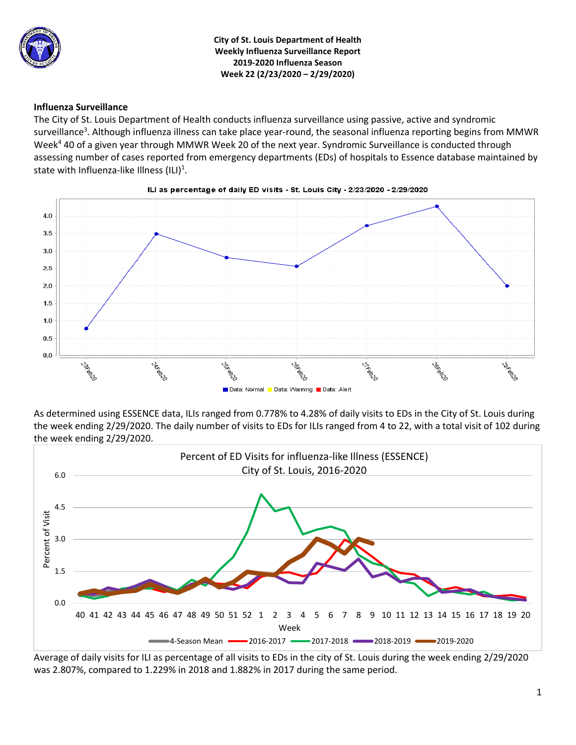

**City of St. Louis Department of Health Weekly Influenza Surveillance Report 2019-2020 Influenza Season Week 22 (2/23/2020 – 2/29/2020)**

### **Influenza Surveillance**

The City of St. Louis Department of Health conducts influenza surveillance using passive, active and syndromic surveillance<sup>3</sup>. Although influenza illness can take place year-round, the seasonal influenza reporting begins from MMWR Week<sup>4</sup> 40 of a given year through MMWR Week 20 of the next year. Syndromic Surveillance is conducted through assessing number of cases reported from emergency departments (EDs) of hospitals to Essence database maintained by state with Influenza-like Illness (ILI)<sup>1</sup>.



As determined using ESSENCE data, ILIs ranged from 0.778% to 4.28% of daily visits to EDs in the City of St. Louis during the week ending 2/29/2020. The daily number of visits to EDs for ILIs ranged from 4 to 22, with a total visit of 102 during the week ending 2/29/2020.



Average of daily visits for ILI as percentage of all visits to EDs in the city of St. Louis during the week ending 2/29/2020 was 2.807%, compared to 1.229% in 2018 and 1.882% in 2017 during the same period.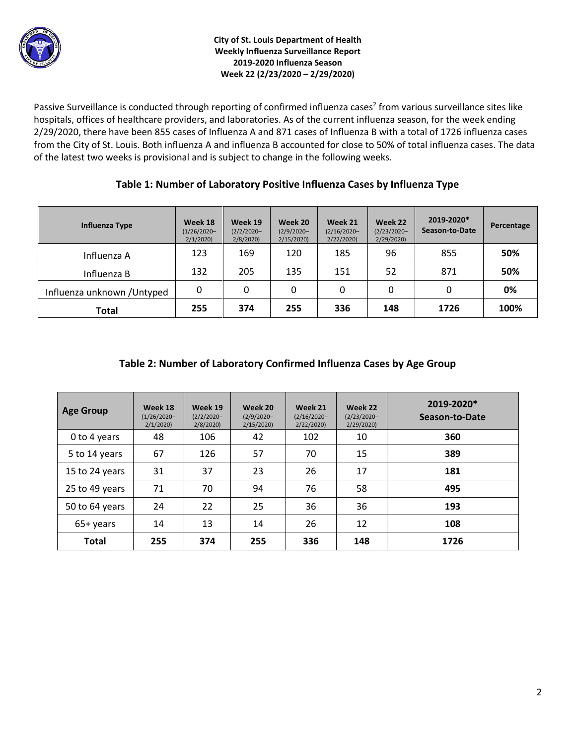

Passive Surveillance is conducted through reporting of confirmed influenza cases<sup>2</sup> from various surveillance sites like hospitals, offices of healthcare providers, and laboratories. As of the current influenza season, for the week ending 2/29/2020, there have been 855 cases of Influenza A and 871 cases of Influenza B with a total of 1726 influenza cases from the City of St. Louis. Both influenza A and influenza B accounted for close to 50% of total influenza cases. The data of the latest two weeks is provisional and is subject to change in the following weeks.

## **Table 1: Number of Laboratory Positive Influenza Cases by Influenza Type**

| Influenza Type              | Week 18<br>$(1/26/2020 -$<br>2/1/2020 | Week 19<br>$(2/2/2020 -$<br>2/8/2020 | Week 20<br>$(2/9/2020 -$<br>2/15/2020 | Week 21<br>$(2/16/2020 -$<br>2/22/2020 | Week 22<br>$(2/23/2020 -$<br>2/29/2020 | 2019-2020*<br>Season-to-Date | Percentage |
|-----------------------------|---------------------------------------|--------------------------------------|---------------------------------------|----------------------------------------|----------------------------------------|------------------------------|------------|
| Influenza A                 | 123                                   | 169                                  | 120                                   | 185                                    | 96                                     | 855                          | 50%        |
| Influenza B                 | 132                                   | 205                                  | 135                                   | 151                                    | 52                                     | 871                          | 50%        |
| Influenza unknown / Untyped | 0                                     | 0                                    | 0                                     | 0                                      | 0                                      | 0                            | 0%         |
| Total                       | 255                                   | 374                                  | 255                                   | 336                                    | 148                                    | 1726                         | 100%       |

# **Table 2: Number of Laboratory Confirmed Influenza Cases by Age Group**

| <b>Age Group</b> | Week 18<br>$(1/26/2020 -$<br>2/1/2020 | Week 19<br>$(2/2/2020 -$<br>2/8/2020 | Week 20<br>$(2/9/2020 -$<br>2/15/2020 | Week 21<br>$(2/16/2020 -$<br>2/22/2020 | Week 22<br>$(2/23/2020 -$<br>2/29/2020 | 2019-2020*<br>Season-to-Date |
|------------------|---------------------------------------|--------------------------------------|---------------------------------------|----------------------------------------|----------------------------------------|------------------------------|
| 0 to 4 years     | 48                                    | 106                                  | 42                                    | 102                                    | 10                                     | 360                          |
| 5 to 14 years    | 67                                    | 126                                  | 57                                    | 70                                     | 15                                     | 389                          |
| 15 to 24 years   | 31                                    | 37                                   | 23                                    | 26                                     | 17                                     | 181                          |
| 25 to 49 years   | 71                                    | 70                                   | 94                                    | 76                                     | 58                                     | 495                          |
| 50 to 64 years   | 24                                    | 22                                   | 25                                    | 36                                     | 36                                     | 193                          |
| 65+ years        | 14                                    | 13                                   | 14                                    | 26                                     | 12                                     | 108                          |
| <b>Total</b>     | 255                                   | 374                                  | 255                                   | 336                                    | 148                                    | 1726                         |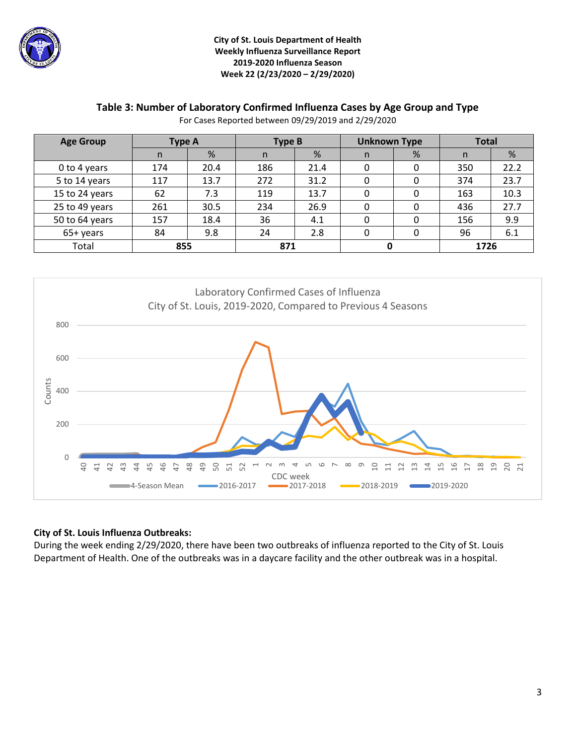

### **City of St. Louis Department of Health Weekly Influenza Surveillance Report 2019-2020 Influenza Season Week 22 (2/23/2020 – 2/29/2020)**

## **Table 3: Number of Laboratory Confirmed Influenza Cases by Age Group and Type**

For Cases Reported between 09/29/2019 and 2/29/2020

| <b>Age Group</b> | Type A |      | Type B |      | <b>Unknown Type</b> |   | <b>Total</b> |      |
|------------------|--------|------|--------|------|---------------------|---|--------------|------|
|                  | n      | %    | n      | %    | n.                  | % | n            | %    |
| 0 to 4 years     | 174    | 20.4 | 186    | 21.4 | 0                   | 0 | 350          | 22.2 |
| 5 to 14 years    | 117    | 13.7 | 272    | 31.2 | 0                   | 0 | 374          | 23.7 |
| 15 to 24 years   | 62     | 7.3  | 119    | 13.7 | 0                   | 0 | 163          | 10.3 |
| 25 to 49 years   | 261    | 30.5 | 234    | 26.9 | 0                   | 0 | 436          | 27.7 |
| 50 to 64 years   | 157    | 18.4 | 36     | 4.1  | 0                   | 0 | 156          | 9.9  |
| 65+ years        | 84     | 9.8  | 24     | 2.8  | 0                   |   | 96           | 6.1  |
| Total            | 855    |      | 871    |      |                     |   | 1726         |      |



## **City of St. Louis Influenza Outbreaks:**

During the week ending 2/29/2020, there have been two outbreaks of influenza reported to the City of St. Louis Department of Health. One of the outbreaks was in a daycare facility and the other outbreak was in a hospital.